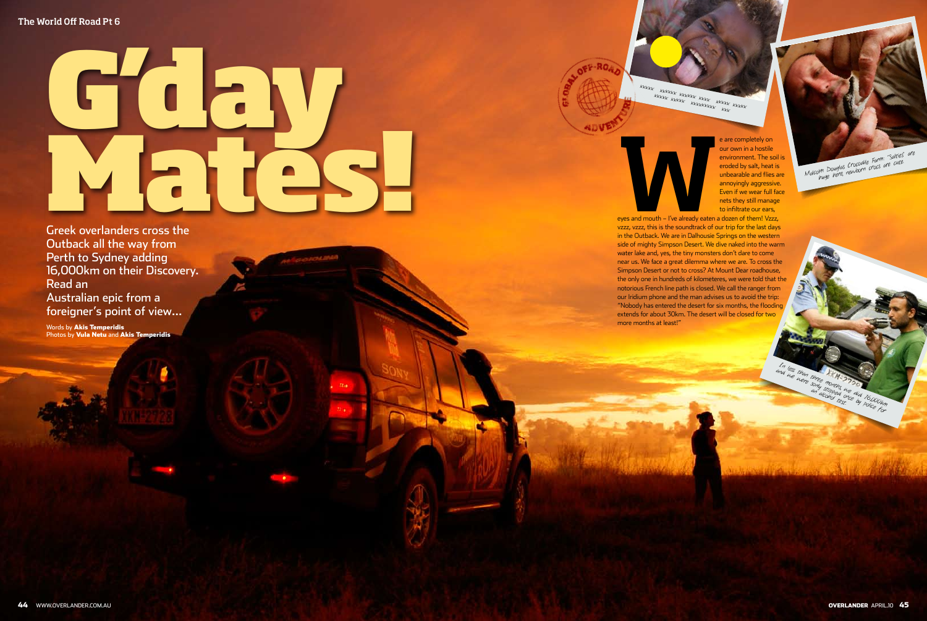

Greek overlanders cross the Outback all the way from Perth to Sydney adding 16,000km on their Discovery. Read an Australian epic from a foreigner's point of view…

Words by Akis Temperidis Photos by Vula Netu and Akis Temperidis xxxxx xxxxx xxxx xxxx xxxx<br>xxxxx xxxxx xxxxx xxxx xxxx

eyes and mouth – I've already eaten a<br>vzzz, vzzz, this is the soundtrack of o

e are completely on our own in a hostile environment. The soil is eroded by salt, heat is unbearable and flies are annoyingly aggressive. Even if we wear full face nets they still manage to infiltrate our ears,

eyes and mouth – I've already eaten a dozen of them! Vzzz, vzzz, vzzz, this is the soundtrack of our trip for the last days in the Outback. We are in Dalhousie Springs on the western side of mighty Simpson Desert. We dive naked into the warm water lake and, yes, the tiny monsters don't dare to come near us. We face a great dilemma where we are. To cross the Simpson Desert or not to cross? At Mount Dear roadhouse, the only one in hundreds of kilometeres, we were told that the notorious French line path is closed. We call the ranger from our Iridium phone and the man advises us to avoid the trip: "Nobody has entered the desert for six months, the flooding extends for about 30km. The desert will be closed for two more months at least!"

Malcolm Douglas Crocodile Farm: "Salties" are huge here, newborn crocs are cute.

In less than three months are did 16,000km an alcohol test.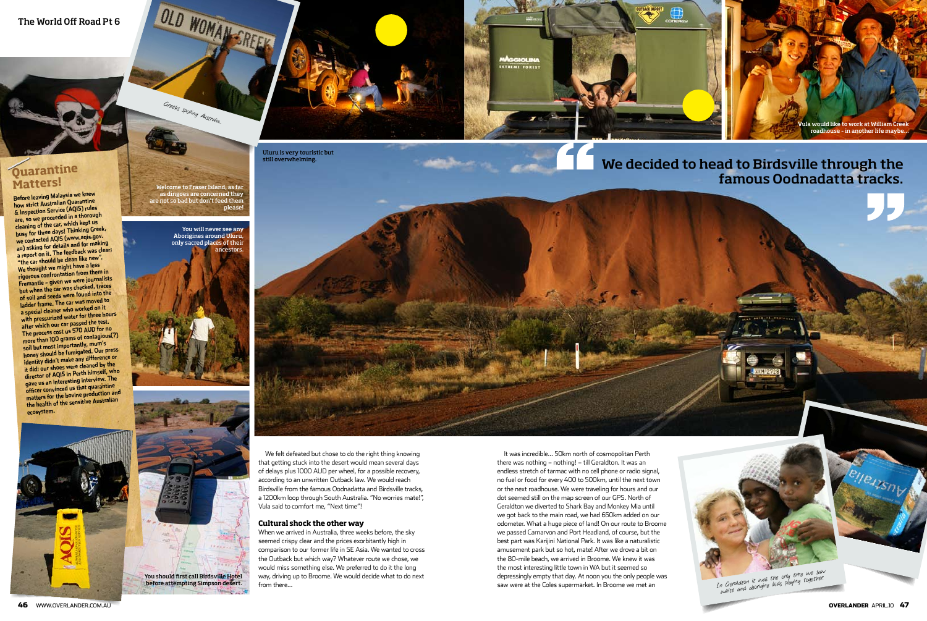46 WWW.OveRlAnDeR.cOm.Au OVERLANDER APRIl.10 47

# The World Off Road Pt 6



# **Matters!**<br>Before leaving Malaysia we knew

We felt defeated but chose to do the right thing knowing that getting stuck into the desert would mean several days of delays plus 1000 AUD per wheel, for a possible recovery, according to an unwritten Outback law. We would reach Birdsville from the famous Oodnadatta and Birdsville tracks, a 1200km loop through South Australia. "No worries mate!", Vula said to comfort me, "Next time"!

#### **Cultural shock the other way**

When we arrived in Australia, three weeks before, the sky seemed crispy clear and the prices exorbitantly high in comparison to our former life in SE Asia. We wanted to cross the Outback but which way? Whatever route we chose, we would miss something else. We preferred to do it the long way, driving up to Broome. We would decide what to do next from there…

# We decided to head to Birdsville through the



MAGGIOLINA

Before leaving Malaysia we knew<br>
how strict Australian Quarantine<br>  $\&$  Inspection Service (AQIS) rules<br>
are, so we proceeded in a thorough<br>
busy for three days! Thinking Greek,<br>
busy for three days! Thinking Greek,<br>
we **ecosystem.** 

> It was incredible… 50km north of cosmopolitan Perth there was nothing – nothing! – till Geraldton. It was an endless stretch of tarmac with no cell phone or radio signal, no fuel or food for every 400 to 500km, until the next town or the next roadhouse. We were traveling for hours and our dot seemed still on the map screen of our GPS. North of Geraldton we diverted to Shark Bay and Monkey Mia until we got back to the main road, we had 650km added on our odometer. What a huge piece of land! On our route to Broome we passed Carnarvon and Port Headland, of course, but the best part was Karijini National Park. It was like a naturalistic amusement park but so hot, mate! After we drove a bit on the 80-mile beach, we arrived in Broome. We knew it was the most interesting little town in WA but it seemed so depressingly empty that day. At noon you the only people was saw were at the Coles supermarket. In Broome we met an

Welcome to Fraser Island, as far as dingoes are concerned they are not so bad but don't feed them

please!







Uluru is very touristic but still overwhelming.



Greeks spoiling Australia...

OLD WOMAN SREEK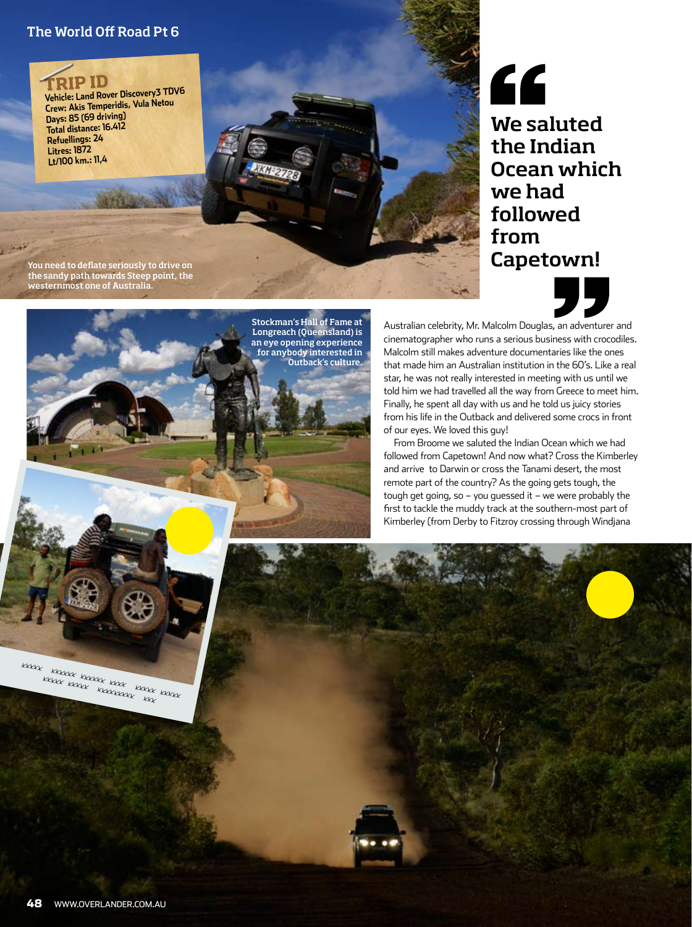## The World Off Road Pt 6

**TRIP ID Vehicle: Land Rover Discovery3 TDV6 Crew: Akis Temperidis, Vula Netou Days: 85 (69 driving) Total distance: 16.412 Refuellings: 24 Litres: 1872 Lt/100 km.: 11,4**

" We saluted the Indian Ocean which we had followed from

Capetown!

You need to deflate seriously to drive on the sandy path towards Steep point, the westernmost one of Australia.





Stockman's Hall of Fame at Longreach (Queensland) is an eye opening experience for anybody interested in Outback's culture.

Australian celebrity, Mr. Malcolm Douglas, an adventurer and cinematographer who runs a serious business with crocodiles. Malcolm still makes adventure documentaries like the ones that made him an Australian institution in the 60's. Like a real star, he was not really interested in meeting with us until we told him we had travelled all the way from Greece to meet him. Finally, he spent all day with us and he told us juicy stories from his life in the Outback and delivered some crocs in front of our eyes. We loved this guy!

From Broome we saluted the Indian Ocean which we had followed from Capetown! And now what? Cross the Kimberley and arrive to Darwin or cross the Tanami desert, the most remote part of the country? As the going gets tough, the tough get going, so – you guessed it – we were probably the first to tackle the muddy track at the southern-most part of Kimberley (from Derby to Fitzroy crossing through Windjana

xxxxx xxxxxx xxxxxx xxxx xxxxx xxxxx xxxx xxxx xxxxxxxxx xxx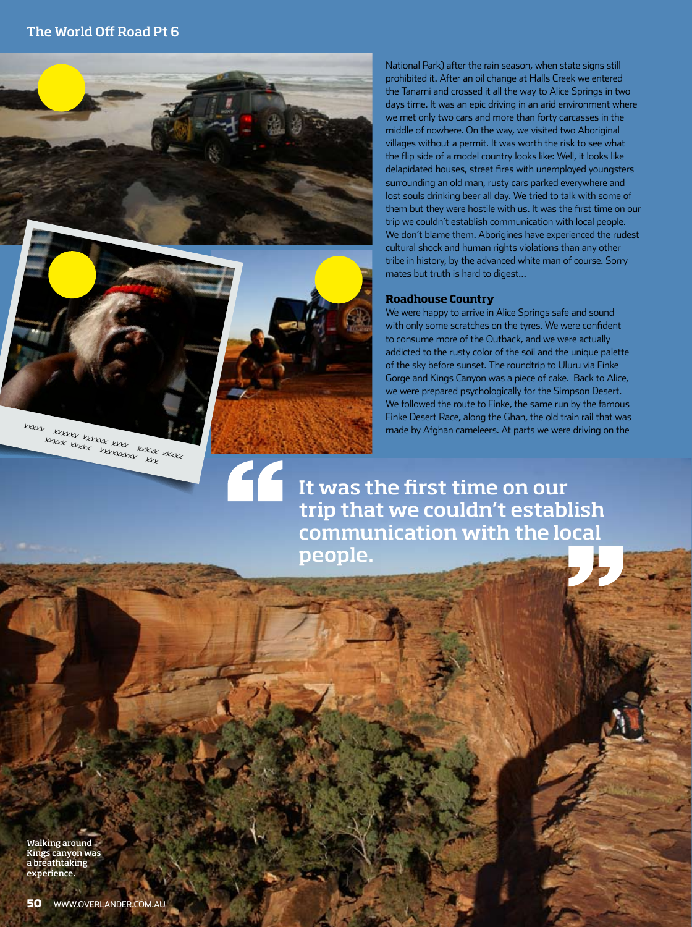$\epsilon$ 

xxxxx xxxxx xxxx xxxx xxxx<br>xxxxx xxxxx xxxxx xxxx xxxx

National Park) after the rain season, when state signs still prohibited it. After an oil change at Halls Creek we entered the Tanami and crossed it all the way to Alice Springs in two days time. It was an epic driving in an arid environment where we met only two cars and more than forty carcasses in the middle of nowhere. On the way, we visited two Aboriginal villages without a permit. It was worth the risk to see what the flip side of a model country looks like: Well, it looks like delapidated houses, street fires with unemployed youngsters surrounding an old man, rusty cars parked everywhere and lost souls drinking beer all day. We tried to talk with some of them but they were hostile with us. It was the first time on our trip we couldn't establish communication with local people. We don't blame them. Aborigines have experienced the rudest cultural shock and human rights violations than any other tribe in history, by the advanced white man of course. Sorry mates but truth is hard to digest…

### **Roadhouse Country**

We were happy to arrive in Alice Springs safe and sound with only some scratches on the tyres. We were confident to consume more of the Outback, and we were actually addicted to the rusty color of the soil and the unique palette of the sky before sunset. The roundtrip to Uluru via Finke Gorge and Kings Canyon was a piece of cake. Back to Alice, we were prepared psychologically for the Simpson Desert. We followed the route to Finke, the same run by the famous Finke Desert Race, along the Ghan, the old train rail that was made by Afghan cameleers. At parts we were driving on the

It was the first time on our trip that we couldn't establish communication with the local people.

Walking around Kings canyon was a breathtaking experience.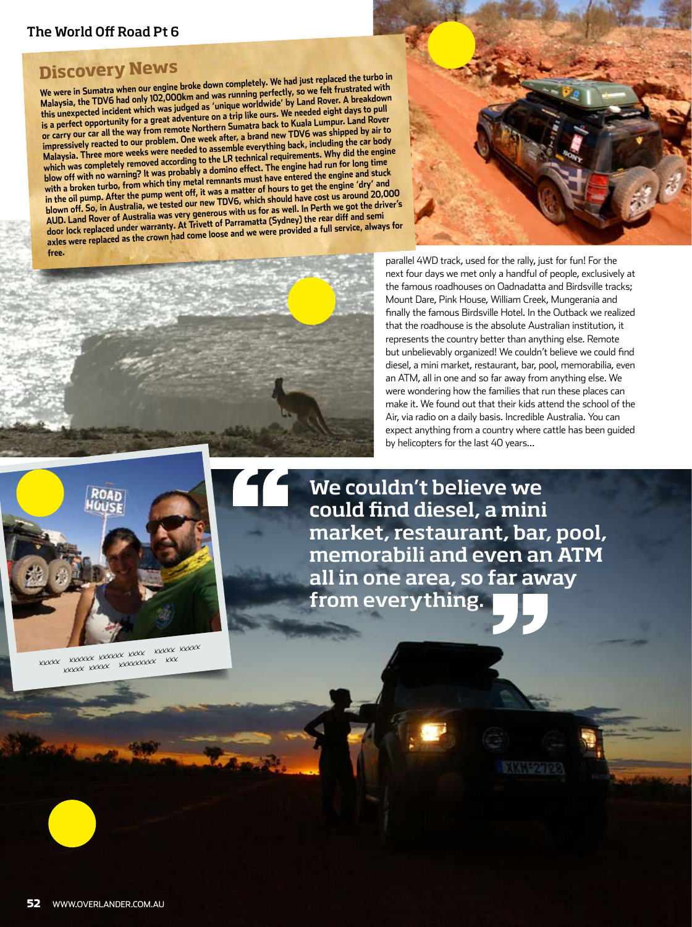## The World Off Road Pt 6

**Discovery News**<br>We were in Sumatra when our engine broke down completely. We had just replaced the turbo in<br>Malaysia, the TDV6 had only 102,000km and was running perfectly, so we felt frustrated with this unexpected incident which was judged as 'unique worldwide' by Land Rover. A breakdown<br>is a perfect opportunity for a great adventure on a trip like ours. We needed eight days to pull<br>or carry our car all the way from





parallel 4WD track, used for the rally, just for fun! For the next four days we met only a handful of people, exclusively at the famous roadhouses on Oadnadatta and Birdsville tracks; Mount Dare, Pink House, William Creek, Mungerania and finally the famous Birdsville Hotel. In the Outback we realized that the roadhouse is the absolute Australian institution, it represents the country better than anything else. Remote but unbelievably organized! We couldn't believe we could find diesel, a mini market, restaurant, bar, pool, memorabilia, even an ATM, all in one and so far away from anything else. We were wondering how the families that run these places can make it. We found out that their kids attend the school of the Air, via radio on a daily basis. Incredible Australia. You can expect anything from a country where cattle has been guided by helicopters for the last 40 years…



xxxxx xxxxxx xxxxxx xxxx xxxxx xxxxx xxxxx xxxxxxxxx xxx

We couldn't believe we could find diesel, a mini market, restaurant, bar, pool, memorabili and even an ATM all in one area, so far away from everything.